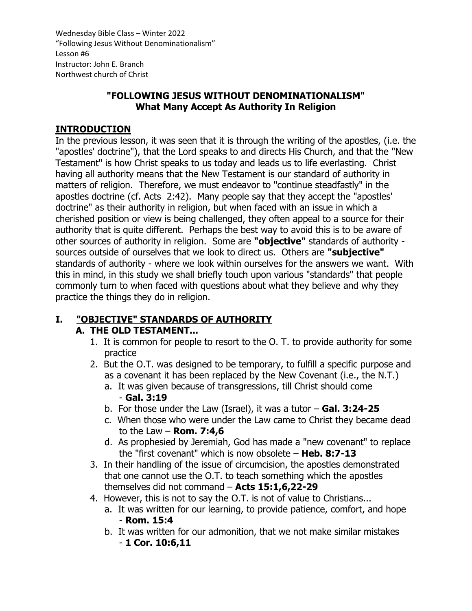### **"FOLLOWING JESUS WITHOUT DENOMINATIONALISM" What Many Accept As Authority In Religion**

### **INTRODUCTION**

In the previous lesson, it was seen that it is through the writing of the apostles, (i.e. the "apostles' doctrine"), that the Lord speaks to and directs His Church, and that the "New Testament" is how Christ speaks to us today and leads us to life everlasting. Christ having all authority means that the New Testament is our standard of authority in matters of religion. Therefore, we must endeavor to "continue steadfastly" in the apostles doctrine (cf. Acts 2:42). Many people say that they accept the "apostles' doctrine" as their authority in religion, but when faced with an issue in which a cherished position or view is being challenged, they often appeal to a source for their authority that is quite different. Perhaps the best way to avoid this is to be aware of other sources of authority in religion. Some are **"objective"** standards of authority sources outside of ourselves that we look to direct us. Others are **"subjective"** standards of authority - where we look within ourselves for the answers we want. With this in mind, in this study we shall briefly touch upon various "standards" that people commonly turn to when faced with questions about what they believe and why they practice the things they do in religion.

# **I. "OBJECTIVE" STANDARDS OF AUTHORITY**

### **A. THE OLD TESTAMENT...**

- 1. It is common for people to resort to the O. T. to provide authority for some practice
- 2. But the O.T. was designed to be temporary, to fulfill a specific purpose and as a covenant it has been replaced by the New Covenant (i.e., the N.T.)
	- a. It was given because of transgressions, till Christ should come - **Gal. 3:19**
	- b. For those under the Law (Israel), it was a tutor **Gal. 3:24-25**
	- c. When those who were under the Law came to Christ they became dead to the Law – **Rom. 7:4,6**
	- d. As prophesied by Jeremiah, God has made a "new covenant" to replace the "first covenant" which is now obsolete – **Heb. 8:7-13**
- 3. In their handling of the issue of circumcision, the apostles demonstrated that one cannot use the O.T. to teach something which the apostles themselves did not command – **Acts 15:1,6,22-29**
- 4. However, this is not to say the O.T. is not of value to Christians...
	- a. It was written for our learning, to provide patience, comfort, and hope - **Rom. 15:4**
	- b. It was written for our admonition, that we not make similar mistakes - **1 Cor. 10:6,11**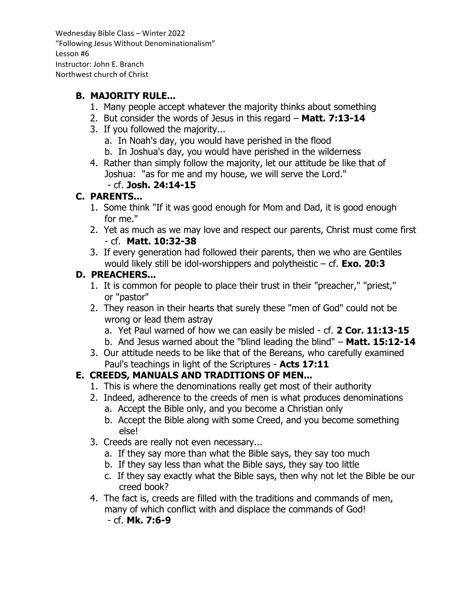### **B. MAJORITY RULE...**

- 1. Many people accept whatever the majority thinks about something
- 2. But consider the words of Jesus in this regard **Matt. 7:13-14**
- 3. If you followed the majority...
	- a. In Noah's day, you would have perished in the flood
	- b. In Joshua's day, you would have perished in the wilderness
- 4. Rather than simply follow the majority, let our attitude be like that of Joshua: "as for me and my house, we will serve the Lord."

### - cf. **Josh. 24:14-15**

### **C. PARENTS...**

- 1. Some think "If it was good enough for Mom and Dad, it is good enough for me."
- 2. Yet as much as we may love and respect our parents, Christ must come first - cf. **Matt. 10:32-38**
- 3. If every generation had followed their parents, then we who are Gentiles would likely still be idol-worshippers and polytheistic – cf. **Exo. 20:3**

### **D. PREACHERS...**

- 1. It is common for people to place their trust in their "preacher," "priest," or "pastor"
- 2. They reason in their hearts that surely these "men of God" could not be wrong or lead them astray
	- a. Yet Paul warned of how we can easily be misled cf. **2 Cor. 11:13-15**
	- b. And Jesus warned about the "blind leading the blind" **Matt. 15:12-14**
- 3. Our attitude needs to be like that of the Bereans, who carefully examined Paul's teachings in light of the Scriptures - **Acts 17:11**

### **E. CREEDS, MANUALS AND TRADITIONS OF MEN...**

- 1. This is where the denominations really get most of their authority
- 2. Indeed, adherence to the creeds of men is what produces denominations
	- a. Accept the Bible only, and you become a Christian only
	- b. Accept the Bible along with some Creed, and you become something else!
- 3. Creeds are really not even necessary...
	- a. If they say more than what the Bible says, they say too much
	- b. If they say less than what the Bible says, they say too little
	- c. If they say exactly what the Bible says, then why not let the Bible be our creed book?
- 4. The fact is, creeds are filled with the traditions and commands of men, many of which conflict with and displace the commands of God!

- cf. **Mk. 7:6-9**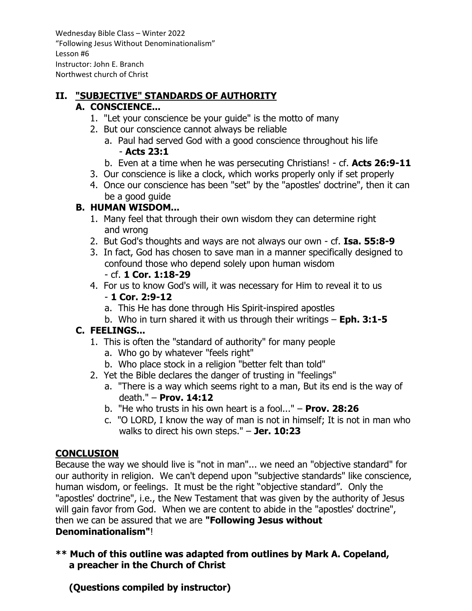## **II. "SUBJECTIVE" STANDARDS OF AUTHORITY**

### **A. CONSCIENCE...**

- 1. "Let your conscience be your guide" is the motto of many
- 2. But our conscience cannot always be reliable
	- a. Paul had served God with a good conscience throughout his life - **Acts 23:1**
	- b. Even at a time when he was persecuting Christians! cf. **Acts 26:9-11**
- 3. Our conscience is like a clock, which works properly only if set properly
- 4. Once our conscience has been "set" by the "apostles' doctrine", then it can be a good guide

### **B. HUMAN WISDOM...**

- 1. Many feel that through their own wisdom they can determine right and wrong
- 2. But God's thoughts and ways are not always our own cf. **Isa. 55:8-9**
- 3. In fact, God has chosen to save man in a manner specifically designed to confound those who depend solely upon human wisdom

### - cf. **1 Cor. 1:18-29**

- 4. For us to know God's will, it was necessary for Him to reveal it to us - **1 Cor. 2:9-12**
	- a. This He has done through His Spirit-inspired apostles
	- b. Who in turn shared it with us through their writings **Eph. 3:1-5**

### **C. FEELINGS...**

- 1. This is often the "standard of authority" for many people
	- a. Who go by whatever "feels right"
	- b. Who place stock in a religion "better felt than told"
- 2. Yet the Bible declares the danger of trusting in "feelings"
	- a. "There is a way which seems right to a man, But its end is the way of death." – **Prov. 14:12**
	- b. "He who trusts in his own heart is a fool..." **Prov. 28:26**
	- c. "O LORD, I know the way of man is not in himself; It is not in man who walks to direct his own steps." – **Jer. 10:23**

### **CONCLUSION**

Because the way we should live is "not in man"... we need an "objective standard" for our authority in religion. We can't depend upon "subjective standards" like conscience, human wisdom, or feelings. It must be the right "objective standard". Only the "apostles' doctrine", i.e., the New Testament that was given by the authority of Jesus will gain favor from God. When we are content to abide in the "apostles' doctrine", then we can be assured that we are **"Following Jesus without** 

#### **Denominationalism"**!

### **\*\* Much of this outline was adapted from outlines by Mark A. Copeland, a preacher in the Church of Christ**

 **(Questions compiled by instructor)**